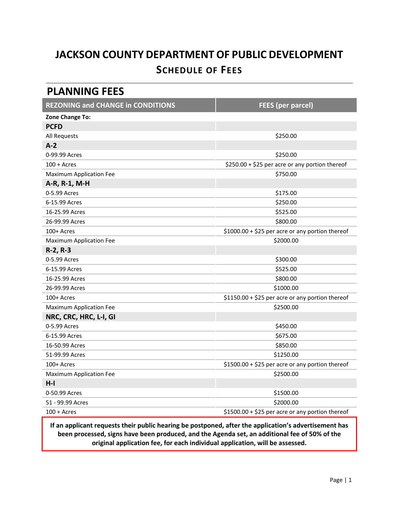# **JACKSON COUNTY DEPARTMENT OF PUBLIC DEVELOPMENT SCHEDULE OF FEES**

#### **PLANNING FEES**

| <b>REZONING and CHANGE in CONDITIONS</b> | <b>FEES (per parcel)</b>                         |
|------------------------------------------|--------------------------------------------------|
| Zone Change To:                          |                                                  |
| <b>PCFD</b>                              |                                                  |
| All Requests                             | \$250.00                                         |
| $A-2$                                    |                                                  |
| 0-99.99 Acres                            | \$250.00                                         |
| $100 +$ Acres                            | \$250.00 + \$25 per acre or any portion thereof  |
| <b>Maximum Application Fee</b>           | \$750.00                                         |
| A-R, R-1, M-H                            |                                                  |
| 0-5.99 Acres                             | \$175.00                                         |
| 6-15.99 Acres                            | \$250.00                                         |
| 16-25.99 Acres                           | \$525.00                                         |
| 26-99.99 Acres                           | \$800.00                                         |
| 100+ Acres                               | \$1000.00 + \$25 per acre or any portion thereof |
| <b>Maximum Application Fee</b>           | \$2000.00                                        |
| $R-2, R-3$                               |                                                  |
| 0-5.99 Acres                             | \$300.00                                         |
| 6-15.99 Acres                            | \$525.00                                         |
| 16-25.99 Acres                           | \$800.00                                         |
| 26-99.99 Acres                           | \$1000.00                                        |
| 100+ Acres                               | \$1150.00 + \$25 per acre or any portion thereof |
| <b>Maximum Application Fee</b>           | \$2500.00                                        |
| NRC, CRC, HRC, L-I, GI                   |                                                  |
| 0-5.99 Acres                             | \$450.00                                         |
| 6-15.99 Acres                            | \$675.00                                         |
| 16-50.99 Acres                           | \$850.00                                         |
| 51-99.99 Acres                           | \$1250.00                                        |
| 100+ Acres                               | \$1500.00 + \$25 per acre or any portion thereof |
| <b>Maximum Application Fee</b>           | \$2500.00                                        |
| $H-I$                                    |                                                  |
| 0-50.99 Acres                            | \$1500.00                                        |
| 51 - 99.99 Acres                         | \$2000.00                                        |
| $100 +$ Acres                            | \$1500.00 + \$25 per acre or any portion thereof |

**If an applicant requests their public hearing be postponed, after the application's advertisement has been processed, signs have been produced, and the Agenda set, an additional fee of 50% of the original application fee, for each individual application, will be assessed.**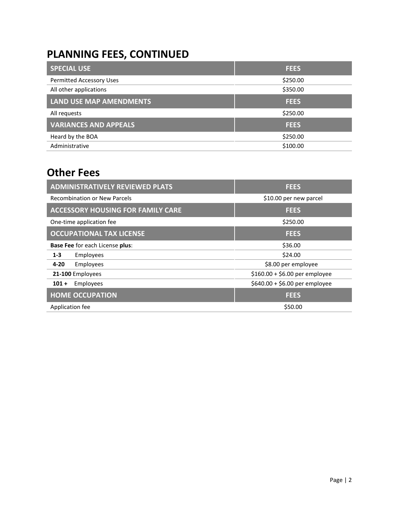## **PLANNING FEES, CONTINUED**

| <b>FEES</b> |
|-------------|
| \$250.00    |
| \$350.00    |
| <b>FEES</b> |
| \$250.00    |
| <b>FEES</b> |
| \$250.00    |
| \$100.00    |
|             |

### **Other Fees**

| <b>ADMINISTRATIVELY REVIEWED PLATS</b>   | <b>FEES</b>                    |
|------------------------------------------|--------------------------------|
| <b>Recombination or New Parcels</b>      | \$10.00 per new parcel         |
| <b>ACCESSORY HOUSING FOR FAMILY CARE</b> | <b>FEES</b>                    |
| One-time application fee                 | \$250.00                       |
| <b>OCCUPATIONAL TAX LICENSE</b>          | <b>FEES</b>                    |
| <b>Base Fee for each License plus:</b>   | \$36.00                        |
| $1 - 3$<br>Employees                     | \$24.00                        |
| Employees<br>$4 - 20$                    | \$8.00 per employee            |
| 21-100 Employees                         | $$160.00 + $6.00$ per employee |
| Employees<br>$101 +$                     | \$640.00 + \$6.00 per employee |
| <b>HOME OCCUPATION</b>                   | <b>FEES</b>                    |
| Application fee                          | \$50.00                        |